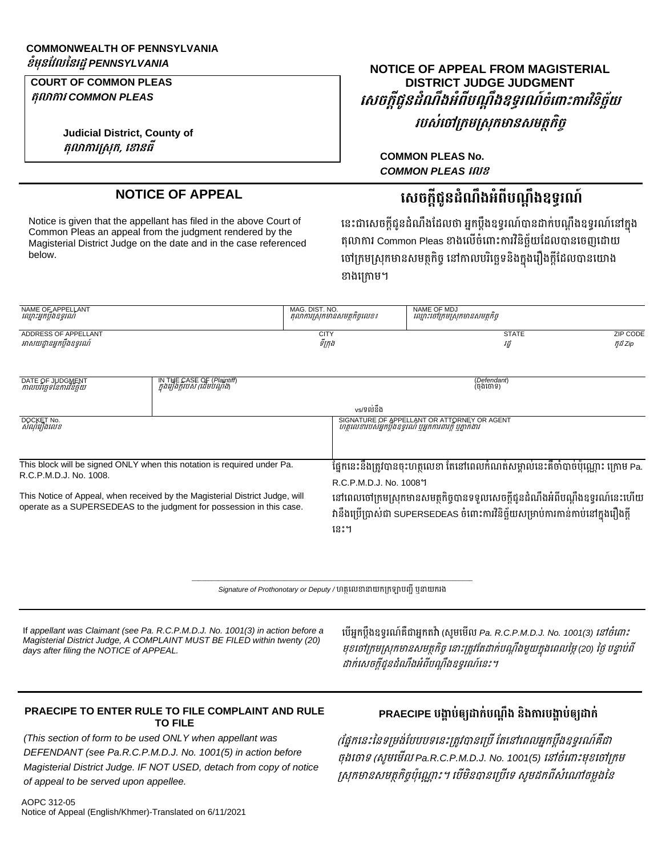# **COMMONWEALTH OF PENNSYLVANIA**

**COURT OF COMMON PLEAS ត្ុល ក រ** *COMMON PLEAS*

> **Judicial District, County of ត្ុល ក រក្េុក្, ស នធី**

# **ខំមុនវែលននរដ្ឋ***PENNSYLVANIA* **NOTICE OF APPEAL FROM MAGISTERIAL DISTRICT JUDGE JUDGMENT សេចក្ដីជូនដ្ំណឹងអំពីបណតឹងឧទ្ធរណ៍ចំស ោះក រែិនិចឆ័យ** *របស់ចៅក្រមស្រុកមានសមត្ថកិច្*

**COMMON PLEAS No.** *COMMON PLEAS* **សលខ**

# **NOTICE OF APPEAL សេចក្ដីជូនដ្ំណឹងអំពីបណតឹងឧទ្ធរណ៍**

Notice is given that the appellant has filed in the above Court of Common Pleas an appeal from the judgment rendered by the Magisterial District Judge on the date and in the case referenced below.

នេះជាសេចក្ដីជូនដំណឹងដែលថា អ្នកប្ដឹងឧទ្ធរណ៍បានដាក់បណ្ដឹងឧទ្ធរណ៍នៅក្នុង តុលាការ Common Pleas ខាងលើចំពោះការវិនិច្ឆ័យដែលបានចេញដោយ ចៅក្រមស្រុកមានសមត្ថកិច្ច នៅកាលបរិច្ឆេទនិងក្នុងរឿងក្ដីដែលបានយោង ខាងក្រោម។

| NAME OF APPELLANT         | MAG. DIST. NO.                | NAME OF MDJ                  |          |
|---------------------------|-------------------------------|------------------------------|----------|
| ឈ្មោះអ្នកប្តងឧទ្ទរណ       | តុលាការស្រុកមានសមត្ថកិច្ចលេខ៖ | ឈ្មោះចៅក្រមស្រុកមានសមត្ថកច្ច |          |
| ADDRESS OF APPELLANT      | <b>CITY</b>                   | <b>STATE</b>                 | ZIP CODE |
| អាសយដ្ឋានអ្នកប្តឹងឧទ្ទរណ៍ | ទក្រុង                        | វដ                           | ñដ Zip   |

| DATE OF JUDGMENT<br>កាលបរច្ឆេទនៃការវិនិច្ឆ័យ                                                                                                          | IN THE CASE OF (Plaintiff)<br>ក្នុងរឿងក្តីរបស់ (ដើមបណ្តឹង) | (Defendant)<br>(ចងចោទ)                                                                                                                                                |
|-------------------------------------------------------------------------------------------------------------------------------------------------------|------------------------------------------------------------|-----------------------------------------------------------------------------------------------------------------------------------------------------------------------|
|                                                                                                                                                       |                                                            | vs/ទល់នឹង                                                                                                                                                             |
| DOCKET No.<br>សំណុំរឿងលេខ                                                                                                                             |                                                            | SIGNATURE OF APPELLANT OR ATTORNEY OR AGENT<br>ហត្ថលេខារបសអ្នកប្លងខ្សួរណ បុអ្នកការពារក្ត បុគ្នាកងារ                                                                   |
| This block will be signed ONLY when this notation is required under Pa.<br>R.C.P.M.D.J. No. 1008.                                                     |                                                            | ផ្នែកនេះនឹងត្រូវបានចុះហត្ថលេខា តែនៅពេលកំណត់សម្គាល់នេះគឺចាំបាច់ប៉ុណ្ណោះ ក្រោម Pa.<br>R.C.P.M.D.J. No. 10081                                                            |
| This Notice of Appeal, when received by the Magisterial District Judge, will<br>operate as a SUPERSEDEAS to the judgment for possession in this case. |                                                            | នៅពេលចៅក្រមស្រុកមានសមត្ថកិច្ចបានទទួលសេចក្ដីជូនដំណឹងអំពីបណ្ដឹងឧទ្ធរណ៍នេះហើយ<br>វានឹងប្រើប្រាស់ជា SUPERSEDEAS ចំពោះការវិនិច្ឆ័យសម្រាប់ការកាន់កាប់នៅក្នុងរឿងក្តី<br>នេះ។ |

 $\_$  , and the set of the set of the set of the set of the set of the set of the set of the set of the set of the set of the set of the set of the set of the set of the set of the set of the set of the set of the set of th *Signature of Prothonotary or Deputy /* ហត្ថលេខានាយកក្រឡាបញ្ជី ឬនាយករង

If *appellant was Claimant (see Pa. R.C.P.M.D.J. No. 1001(3) in action before a Magisterial District Judge, A COMPLAINT MUST BE FILED within twenty (20) days after filing the NOTICE of APPEAL.*

បើអ្នកប្ដឹងឧទ្ធរណ៍គឺជាអ្នកតវ៉ា (សូមមើល *Pa. R.C.P.M.D.J. No. 1001(3) នៅចំពោះ* មុខចៅក្រមស្រុកមានសមត្ថកិច្ច នោះត្រូវតែដាក់បណ្តឹងមួយក្នុងពេលម្ភៃ (20) ថ្ងៃ បន្ទាប់ពី ដាក់សេចក៏ជនដំណឹងអំពីបណឹងឧទរណ៍នេះ។

#### **PRAECIPE TO ENTER RULE TO FILE COMPLAINT AND RULE TO FILE**

*(This section of form to be used ONLY when appellant was DEFENDANT (see Pa.R.C.P.M.D.J. No. 1001(5) in action before Magisterial District Judge. IF NOT USED, detach from copy of notice of appeal to be served upon appellee.*

# **PRAECIPE** បង្គាប់ឲ្យដាក់បណ្តឹង និងការបង្គាប់ឲ្យដាក់

(ផ្នែកនេះនៃទម្រង់បែបបទនេះត្រូវបានប្រើ តែនៅពេលអ្នកប្ដឹងឧទ្ទរណ៍គឺជា ចុងចោ*ទ (សូមមើល Pa.R.C.P.M.D.J. No. 1001(*5) នៅចំពោះមុខចៅក្រម ស្រុកមានសមត្ថកិច្ចប៉ុណ្ណោះ។ បើមិនបានប្រើទេ សូមដកពីសំណៅចម្លងនៃ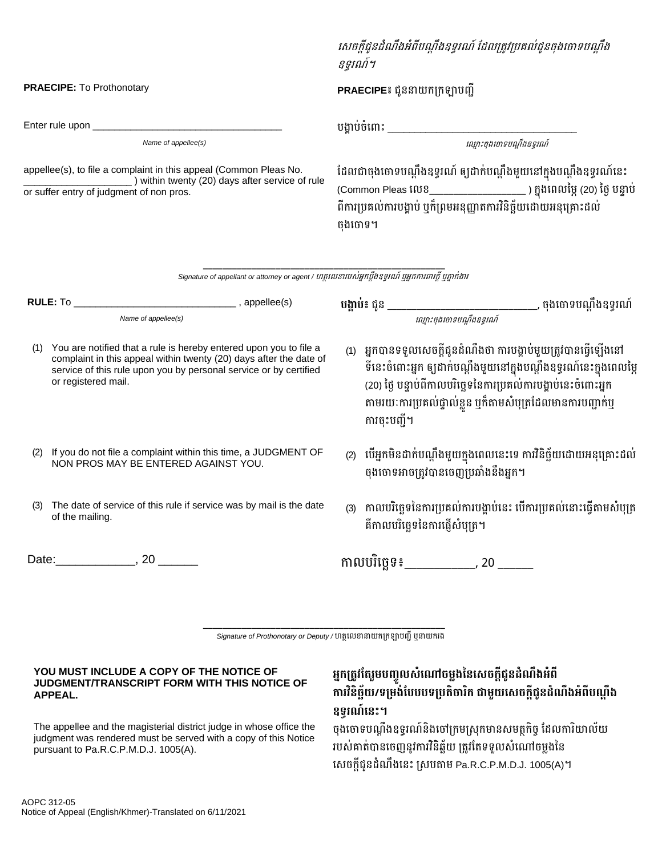Enter rule upon \_\_\_\_\_\_\_\_\_\_\_\_\_\_\_\_\_\_\_\_\_\_\_\_\_\_\_\_\_\_\_\_\_\_\_ ប្ងគាប្់ចំន ាេះ \_\_\_\_\_\_\_\_\_\_\_\_\_\_\_\_\_\_\_\_\_\_\_\_\_\_\_\_\_\_\_\_\_\_\_

appellee(s), to file a complaint in this appeal (Common Pleas No. \_\_\_\_\_\_\_\_\_\_\_\_\_\_\_\_\_\_\_\_ ) within twenty (20) days after service of rule or suffer entry of judgment of non pros.

### សេចក្ដីជូនដំណឹងអំពីបណ្ដឹងឧទ្ធរណ៍ ដែលត្រូវប្រគល់ជូនចុងចោទបណ្ដឹង ឧទ្ធរណ៍។

**PRAECIPE:** To Prothonotary **PRAECIPE៖** ជូ នាយក្ក្ក្ឡាប្ញ្ជី

 $\alpha$  *Name of appellee(s)* and  $\alpha$  and  $\alpha$  are set  $\alpha$  and  $\alpha$  are set  $\alpha$  and  $\alpha$   $\alpha$   $\beta$   $\alpha$   $\beta$   $\alpha$   $\beta$   $\alpha$   $\beta$   $\alpha$   $\beta$   $\beta$   $\alpha$   $\beta$   $\alpha$   $\beta$   $\alpha$   $\beta$   $\beta$   $\alpha$   $\beta$   $\beta$   $\alpha$   $\beta$   $\beta$   $\alpha$   $\beta$ 

ដែលជាចុងចោទបណ្តឹងឧទ្ធរណ៍ ឲ្យដាក់បណ្តឹងមួយនៅក្នុងបណ្តឹងឧទ្ធរណ៍នេះ (Common Pleas នលខ\_\_\_\_\_\_\_\_\_\_\_\_\_\_\_\_\_\_\_\_ ) ក្នុងនេលនមៃ(20) នងៃប្នទាប្់ ពីការប្រគល់ការបង្គាប់ ឬក៏ព្រមអនុញ្ញាតការវិនិច្ឆ័យដោយអនុគ្រោះដល់ ចុងចោទ។

**\_\_\_\_\_\_\_\_\_\_\_\_\_\_\_\_\_\_\_\_\_\_\_\_\_\_\_\_\_\_\_\_\_\_\_\_\_\_\_\_\_\_\_\_\_\_\_\_\_\_** Signature of appellant or attorney or agent / ហត្ថលេខារបស់អ្នកប្ដឹងឧទ្ធរណ៍ ឬអ្នកការពារក្ដី ឬភ្នាក់ងារ

**RULE:** To \_\_\_\_\_\_\_\_\_\_\_\_\_\_\_\_\_\_\_\_\_\_\_\_\_\_\_\_\_\_ , appellee(s) **បង្គ ប់៖** ជូ \_\_\_\_\_\_\_\_\_\_\_\_\_\_\_\_\_\_\_\_\_\_\_\_\_\_\_\_\_\_\_, ចុងន ាទ្ប្ណដឹងឧទ្ធរណ៍ Name of appellee(s) *ល្មោះចុងចោទបណ្តឹងឧទ្ធរណ៍* (1) You are notified that a rule is hereby entered upon you to file a complaint in this appeal within twenty (20) days after the date of service of this rule upon you by personal service or by certified or registered mail. (1) អ្នកបានទទួលសេចក្ដីជូនដំណឹងថា ការបង្គាប់មួយត្រូវបានធ្វើឡើងនៅ ទីនេះចំពោះអ្នក ឲ្យដាក់បណ្តឹងមួយនៅក្នុងបណ្តឹងឧទ្ធរណ៍នេះក្នុងពេលម្ភៃ (20) ថ្ងៃ បន្ទាប់ពីកាលបរិច្ឆេទនៃការប្រគល់ការបង្គាប់នេះចំពោះអ្នក តាមរយៈការប្រគល់ផ្ទាល់ខ្លួន ឬក៏តាមសំបុត្រដែលមានការបញ្ជាក់ឬ ការចុេះប្ញ្ជី។ (2) If you do not file a complaint within this time, a JUDGMENT OF NON PROS MAY BE ENTERED AGAINST YOU. (2) បើអ្នកមិនដាក់បណ្តឹងមួយក្នុងពេលនេះទេ ការវិនិច្ឆ័យដោយអនុគ្រោះដល់ ចងចោទអាចត្រូវបានចេញប្រឆាំងនឹងអ្នក។ (3) The date of service of this rule if service was by mail is the date of the mailing. (3) កាលបរិច្ឆេទនៃការប្រគល់ការបង្គាប់នេះ បើការប្រគល់នោះធ្វើតាមសំបុត្រ គឺកាលបរិច្ឆេទនៃការផ្ញើសំប្បុត។ Date:\_\_\_\_\_\_\_\_\_\_\_\_, 20 \_\_\_\_\_\_ កាលប្រិនចឆទ្៖\_\_\_\_\_\_\_\_\_\_\_\_, 20 \_\_\_\_\_\_

> **\_\_\_\_\_\_\_\_\_\_\_\_\_\_\_\_\_\_\_\_\_\_\_\_\_\_\_\_\_\_\_\_\_\_\_\_\_\_\_\_\_\_\_\_\_\_\_\_\_\_** *Signature of Prothonotary or Deputy* / ហត្ថលេខានាយកក្រឡាបញ្ជូ ឬនាយករង

#### **YOU MUST INCLUDE A COPY OF THE NOTICE OF JUDGMENT/TRANSCRIPT FORM WITH THIS NOTICE OF APPEAL.**

The appellee and the magisterial district judge in whose office the judgment was rendered must be served with a copy of this Notice pursuant to Pa.R.C.P.M.D.J. 1005(A).

## **អនក្ក្ត្ូែវត្រួមបញ្ចូលេំស ចមលងននសេចក្ដីជូនដ្ំណឹងអំពី ក រែិនិចឆ័យ/ទ្ក្មង់វបបបទ្ក្បត្ិច រិក្ ជ មួយសេចក្ដីជូនដ្ំណឹងអំពីបណតឹង ឧទ្ធរណ៍សនោះ។**

ចុងចោទបណ្តឹងឧទ្ទរណ៍និងចៅក្រមស្រុកមានសមត្ថកិច្ច ដែលការិយាល័យ របស់គាត់បានចេញនូវការវិនិឆ្ឆ័យ ត្រូវតែទទួលសំណៅចម្លងនៃ សេចក្ដីជូនដំណឹងនេះ ស្របតាម Pa.R.C.P.M.D.J. 1005(A)។